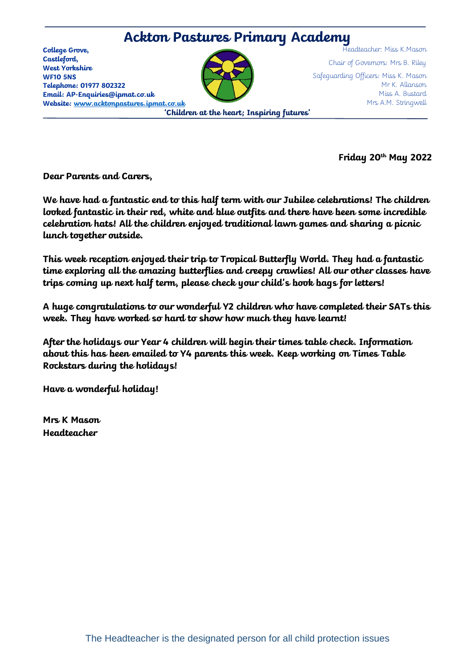## **Ackton Pastures Primary Academy**

**College Grove, Castleford, West Yorkshire WF10 5NS Telephone: 01977 802322 Email: AP-Enquiries@ipmat.co.uk Website: [www.acktonpastures.ipmat.co.uk](http://www.acktonpastures.ipmat.co.uk/)**



Headteacher: Miss K.Mason Chair of Governors: Mrs B. Riley Safeguarding Officers: Miss K. Mason Mr K. Allanson Miss A. Bustard Mrs A.M. Stringwell

**'Children at the heart; Inspiring futures'**

**Friday 20th May 2022**

**Dear Parents and Carers,** 

**We have had a fantastic end to this half term with our Jubilee celebrations! The children looked fantastic in their red, white and blue outfits and there have been some incredible celebration hats! All the children enjoyed traditional lawn games and sharing a picnic lunch together outside.** 

**This week reception enjoyed their trip to Tropical Butterfly World. They had a fantastic time exploring all the amazing butterflies and creepy crawlies! All our other classes have trips coming up next half term, please check your child's book bags for letters!** 

**A huge congratulations to our wonderful Y2 children who have completed their SATs this week. They have worked so hard to show how much they have learnt!** 

**After the holidays our Year 4 children will begin their times table check. Information about this has been emailed to Y4 parents this week. Keep working on Times Table Rockstars during the holidays!**

**Have a wonderful holiday!**

**Mrs K Mason Headteacher**